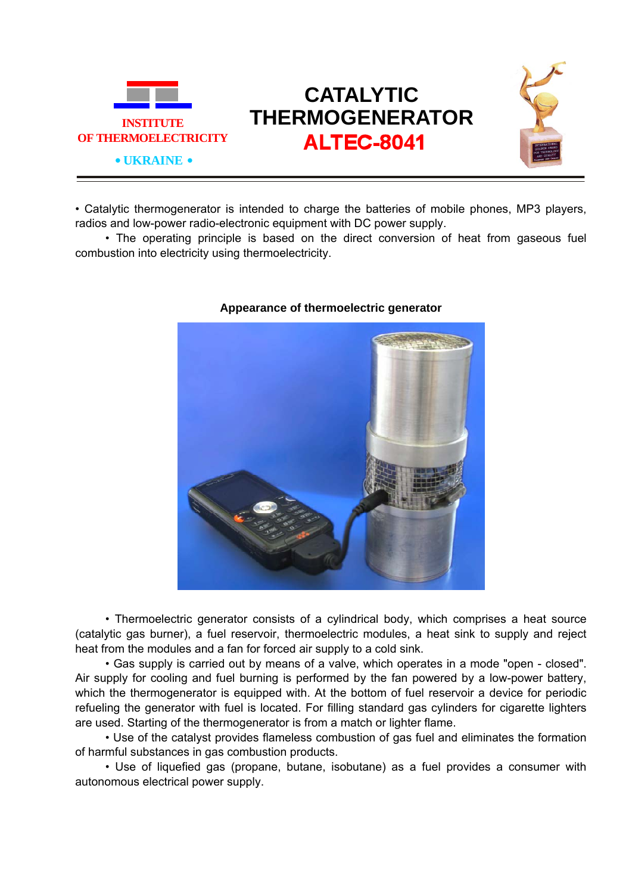

## **CATALYTIC THERMOGENERATOR ALTEC-8041**



• Catalytic thermogenerator is intended to charge the batteries of mobile phones, MP3 players, radios and low-power radio-electronic equipment with DC power supply.

• The operating principle is based on the direct conversion of heat from gaseous fuel combustion into electricity using thermoelectricity.



## **Appearance of thermoelectric generator**

• Thermoelectric generator consists of a cylindrical body, which comprises a heat source (catalytic gas burner), a fuel reservoir, thermoelectric modules, a heat sink to supply and reject heat from the modules and a fan for forced air supply to a cold sink.

• Gas supply is carried out by means of a valve, which operates in a mode "open - closed". Air supply for cooling and fuel burning is performed by the fan powered by a low-power battery, which the thermogenerator is equipped with. At the bottom of fuel reservoir a device for periodic refueling the generator with fuel is located. For filling standard gas cylinders for cigarette lighters are used. Starting of the thermogenerator is from a match or lighter flame.

• Use of the catalyst provides flameless combustion of gas fuel and eliminates the formation of harmful substances in gas combustion products.

• Use of liquefied gas (propane, butane, isobutane) as a fuel provides a consumer with autonomous electrical power supply.